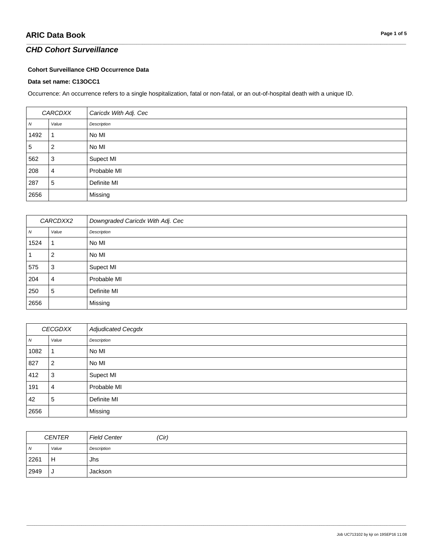### *CHD Cohort Surveillance*

#### **Cohort Surveillance CHD Occurrence Data**

#### **Data set name: C13OCC1**

Occurrence: An occurrence refers to a single hospitalization, fatal or non-fatal, or an out-of-hospital death with a unique ID.

| CARCDXX         |       | Caricdx With Adj. Cec |
|-----------------|-------|-----------------------|
| N               | Value | Description           |
| 1492            |       | No MI                 |
| $5\phantom{.0}$ |       | No MI                 |
| 562             | 3     | Supect MI             |
| 208             | 4     | Probable MI           |
| 287             | 5     | Definite MI           |
| 2656            |       | Missing               |

\_\_\_\_\_\_\_\_\_\_\_\_\_\_\_\_\_\_\_\_\_\_\_\_\_\_\_\_\_\_\_\_\_\_\_\_\_\_\_\_\_\_\_\_\_\_\_\_\_\_\_\_\_\_\_\_\_\_\_\_\_\_\_\_\_\_\_\_\_\_\_\_\_\_\_\_\_\_\_\_\_\_\_\_\_\_\_\_\_\_\_\_\_\_\_\_\_\_\_\_\_\_\_\_\_\_\_\_\_\_\_\_\_\_\_\_\_\_\_\_\_\_\_\_\_\_\_\_\_\_\_\_\_\_\_\_\_\_\_\_\_\_\_\_\_\_\_\_\_\_\_\_\_\_\_\_\_\_\_\_\_\_\_\_\_\_\_\_\_\_\_\_\_\_\_\_\_\_\_\_\_\_\_\_\_\_\_\_\_\_\_\_\_

| CARCDXX2 |       | Downgraded Caricdx With Adj. Cec |
|----------|-------|----------------------------------|
| N        | Value | Description                      |
| 1524     |       | No MI                            |
|          | 2     | No MI                            |
| 575      | 3     | Supect MI                        |
| 204      | 4     | Probable MI                      |
| 250      | 5     | Definite MI                      |
| 2656     |       | Missing                          |

| CECGDXX |       | <b>Adjudicated Cecgdx</b> |
|---------|-------|---------------------------|
| N       | Value | Description               |
| 1082    |       | No MI                     |
| 827     | 2     | No MI                     |
| 412     | 3     | Supect MI                 |
| 191     | 4     | Probable MI               |
| 42      | 5     | Definite MI               |
| 2656    |       | Missing                   |

| <b>CENTER</b> |       | (Cir)<br><b>Field Center</b> |  |
|---------------|-------|------------------------------|--|
| $\sqrt{N}$    | Value | Description                  |  |
| 2261          | H     | Jhs                          |  |
| 2949          | J     | Jackson                      |  |

\_\_\_\_\_\_\_\_\_\_\_\_\_\_\_\_\_\_\_\_\_\_\_\_\_\_\_\_\_\_\_\_\_\_\_\_\_\_\_\_\_\_\_\_\_\_\_\_\_\_\_\_\_\_\_\_\_\_\_\_\_\_\_\_\_\_\_\_\_\_\_\_\_\_\_\_\_\_\_\_\_\_\_\_\_\_\_\_\_\_\_\_\_\_\_\_\_\_\_\_\_\_\_\_\_\_\_\_\_\_\_\_\_\_\_\_\_\_\_\_\_\_\_\_\_\_\_\_\_\_\_\_\_\_\_\_\_\_\_\_\_\_\_\_\_\_\_\_\_\_\_\_\_\_\_\_\_\_\_\_\_\_\_\_\_\_\_\_\_\_\_\_\_\_\_\_\_\_\_\_\_\_\_\_\_\_\_\_\_\_\_\_\_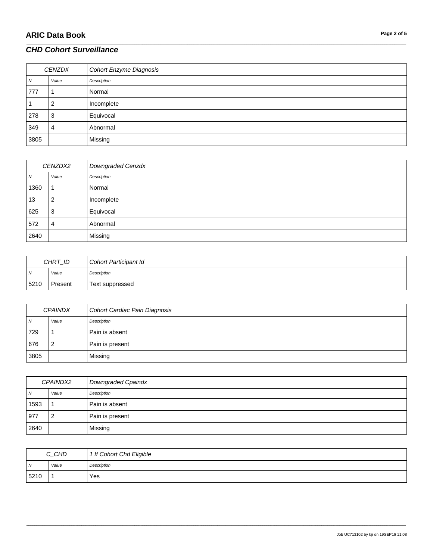| <b>CENZDX</b> |       | Cohort Enzyme Diagnosis |
|---------------|-------|-------------------------|
| Ν             | Value | Description             |
| 777           |       | Normal                  |
|               | 2     | Incomplete              |
| 278           | 3     | Equivocal               |
| 349           | 4     | Abnormal                |
| 3805          |       | Missing                 |

\_\_\_\_\_\_\_\_\_\_\_\_\_\_\_\_\_\_\_\_\_\_\_\_\_\_\_\_\_\_\_\_\_\_\_\_\_\_\_\_\_\_\_\_\_\_\_\_\_\_\_\_\_\_\_\_\_\_\_\_\_\_\_\_\_\_\_\_\_\_\_\_\_\_\_\_\_\_\_\_\_\_\_\_\_\_\_\_\_\_\_\_\_\_\_\_\_\_\_\_\_\_\_\_\_\_\_\_\_\_\_\_\_\_\_\_\_\_\_\_\_\_\_\_\_\_\_\_\_\_\_\_\_\_\_\_\_\_\_\_\_\_\_\_\_\_\_\_\_\_\_\_\_\_\_\_\_\_\_\_\_\_\_\_\_\_\_\_\_\_\_\_\_\_\_\_\_\_\_\_\_\_\_\_\_\_\_\_\_\_\_\_\_

| CENZDX2 |       | Downgraded Cenzdx |
|---------|-------|-------------------|
| Ν       | Value | Description       |
| 1360    |       | Normal            |
| 13      | 2     | Incomplete        |
| 625     | 3     | Equivocal         |
| 572     | 4     | Abnormal          |
| 2640    |       | Missing           |

| CHRT_ID      |         | Cohort Participant Id |
|--------------|---------|-----------------------|
| $\mathsf{N}$ | Value   | Description           |
| 5210         | Present | Text suppressed       |

| <b>CPAINDX</b> |       | Cohort Cardiac Pain Diagnosis |
|----------------|-------|-------------------------------|
| N              | Value | Description                   |
| 729            |       | Pain is absent                |
| 676            |       | Pain is present               |
| 3805           |       | Missing                       |

| CPAINDX2 |       | Downgraded Cpaindx |
|----------|-------|--------------------|
| N        | Value | Description        |
| 1593     |       | Pain is absent     |
| 977      |       | Pain is present    |
| 2640     |       | Missing            |

| C_CHD          |       | 1 If Cohort Chd Eligible |
|----------------|-------|--------------------------|
| $\overline{N}$ | Value | Description              |
| 5210           |       | Yes                      |

\_\_\_\_\_\_\_\_\_\_\_\_\_\_\_\_\_\_\_\_\_\_\_\_\_\_\_\_\_\_\_\_\_\_\_\_\_\_\_\_\_\_\_\_\_\_\_\_\_\_\_\_\_\_\_\_\_\_\_\_\_\_\_\_\_\_\_\_\_\_\_\_\_\_\_\_\_\_\_\_\_\_\_\_\_\_\_\_\_\_\_\_\_\_\_\_\_\_\_\_\_\_\_\_\_\_\_\_\_\_\_\_\_\_\_\_\_\_\_\_\_\_\_\_\_\_\_\_\_\_\_\_\_\_\_\_\_\_\_\_\_\_\_\_\_\_\_\_\_\_\_\_\_\_\_\_\_\_\_\_\_\_\_\_\_\_\_\_\_\_\_\_\_\_\_\_\_\_\_\_\_\_\_\_\_\_\_\_\_\_\_\_\_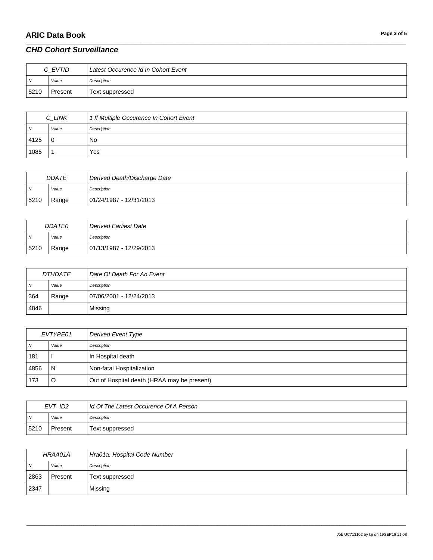## **ARIC Data Book**

### **CHD Cohort Surveillance**

| C EVTID        |         | Latest Occurence Id In Cohort Event |
|----------------|---------|-------------------------------------|
| $\overline{M}$ | Value   | Description                         |
| 5210           | Present | Text suppressed                     |

| C_LINK |       | 1 If Multiple Occurence In Cohort Event |
|--------|-------|-----------------------------------------|
| N      | Value | Description                             |
| 4125   | 0     | No                                      |
| 1085   |       | Yes                                     |

| <b>DDATE</b> |       | Derived Death/Discharge Date |
|--------------|-------|------------------------------|
| N            | Value | Description                  |
| 5210         | Range | 01/24/1987 - 12/31/2013      |

| <b>DDATE0</b>  |       | Derived Earliest Date   |
|----------------|-------|-------------------------|
| $\overline{N}$ | Value | Description             |
| 5210           | Range | 01/13/1987 - 12/29/2013 |

| <i>DTHDATE</i> |       | Date Of Death For An Event |
|----------------|-------|----------------------------|
| N <sub>N</sub> | Value | Description                |
| 364            | Range | 07/06/2001 - 12/24/2013    |
| 4846           |       | Missing                    |

| EVTYPE01 |       | Derived Event Type                          |
|----------|-------|---------------------------------------------|
| <b>N</b> | Value | Description                                 |
| 181      |       | In Hospital death                           |
| 4856     | N     | Non-fatal Hospitalization                   |
| 173      |       | Out of Hospital death (HRAA may be present) |

| EVT ID2        |         | Id Of The Latest Occurence Of A Person |
|----------------|---------|----------------------------------------|
| $\overline{N}$ | Value   | Description                            |
| 5210           | Present | Text suppressed                        |

| HRAA01A        |         | Hra01a. Hospital Code Number |
|----------------|---------|------------------------------|
| $\overline{N}$ | Value   | Description                  |
| 2863           | Present | Text suppressed              |
| 2347           |         | Missing                      |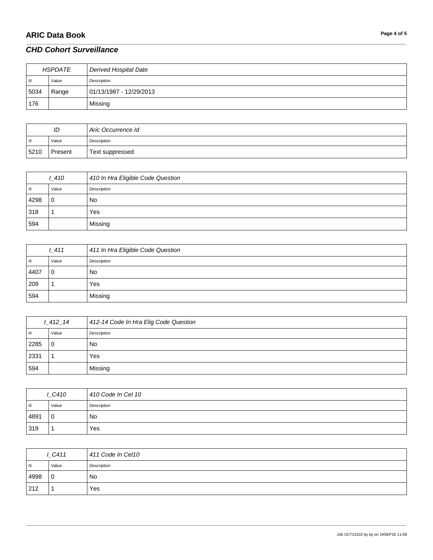# **ARIC Data Book Page 4 of 5**

| HSPDATE    |       | Derived Hospital Date   |
|------------|-------|-------------------------|
| $\sqrt{N}$ | Value | Description             |
| 5034       | Range | 01/13/1987 - 12/29/2013 |
| 176        |       | Missing                 |

\_\_\_\_\_\_\_\_\_\_\_\_\_\_\_\_\_\_\_\_\_\_\_\_\_\_\_\_\_\_\_\_\_\_\_\_\_\_\_\_\_\_\_\_\_\_\_\_\_\_\_\_\_\_\_\_\_\_\_\_\_\_\_\_\_\_\_\_\_\_\_\_\_\_\_\_\_\_\_\_\_\_\_\_\_\_\_\_\_\_\_\_\_\_\_\_\_\_\_\_\_\_\_\_\_\_\_\_\_\_\_\_\_\_\_\_\_\_\_\_\_\_\_\_\_\_\_\_\_\_\_\_\_\_\_\_\_\_\_\_\_\_\_\_\_\_\_\_\_\_\_\_\_\_\_\_\_\_\_\_\_\_\_\_\_\_\_\_\_\_\_\_\_\_\_\_\_\_\_\_\_\_\_\_\_\_\_\_\_\_\_\_\_

| ID             |         | Aric Occurrence Id |
|----------------|---------|--------------------|
| $\overline{N}$ | Value   | Description        |
| 5210           | Present | Text suppressed    |

| 1410 |             | 410 In Hra Eligible Code Question |
|------|-------------|-----------------------------------|
| N    | Value       | Description                       |
| 4298 | $\mathbf 0$ | No                                |
| 318  |             | Yes                               |
| 594  |             | Missing                           |

|      | 1411  | 411 In Hra Eligible Code Question |
|------|-------|-----------------------------------|
| N    | Value | Description                       |
| 4407 | 0     | <b>No</b>                         |
| 209  |       | Yes                               |
| 594  |       | Missing                           |

| $1 - 412 - 14$ |       | 412-14 Code In Hra Elig Code Question |
|----------------|-------|---------------------------------------|
| $\overline{N}$ | Value | Description                           |
| 2285           | 0     | No                                    |
| 2331           |       | Yes                                   |
| 594            |       | Missing                               |

| LC410          |       | 410 Code In Cel 10 |
|----------------|-------|--------------------|
| $\overline{N}$ | Value | Description        |
| 4891           | 10    | No                 |
| 319            |       | Yes                |

| LC411          |             | 411 Code In Cel10 |
|----------------|-------------|-------------------|
| N <sub>N</sub> | Value       | Description       |
| 4998           | $\mathbf 0$ | No                |
| 212            |             | Yes               |

\_\_\_\_\_\_\_\_\_\_\_\_\_\_\_\_\_\_\_\_\_\_\_\_\_\_\_\_\_\_\_\_\_\_\_\_\_\_\_\_\_\_\_\_\_\_\_\_\_\_\_\_\_\_\_\_\_\_\_\_\_\_\_\_\_\_\_\_\_\_\_\_\_\_\_\_\_\_\_\_\_\_\_\_\_\_\_\_\_\_\_\_\_\_\_\_\_\_\_\_\_\_\_\_\_\_\_\_\_\_\_\_\_\_\_\_\_\_\_\_\_\_\_\_\_\_\_\_\_\_\_\_\_\_\_\_\_\_\_\_\_\_\_\_\_\_\_\_\_\_\_\_\_\_\_\_\_\_\_\_\_\_\_\_\_\_\_\_\_\_\_\_\_\_\_\_\_\_\_\_\_\_\_\_\_\_\_\_\_\_\_\_\_